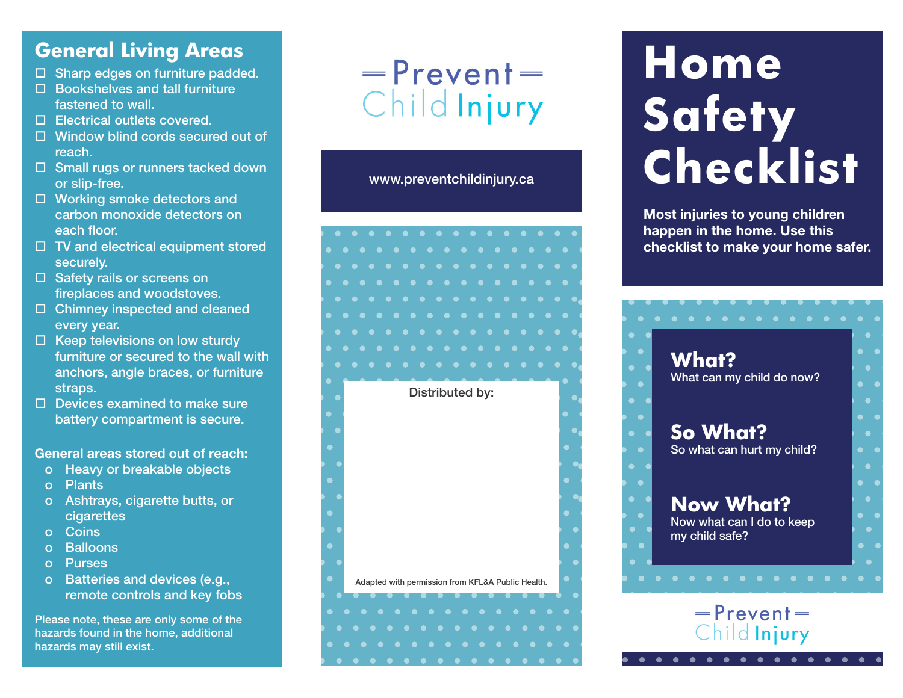## **General Living Areas**

- $\Box$  Sharp edges on furniture padded.
- $\Box$  Bookshelves and tall furniture fastened to wall.
- □ Electrical outlets covered.
- □ Window blind cords secured out of reach.
- $\Box$  Small rugs or runners tacked down or slip-free.
- □ Working smoke detectors and carbon monoxide detectors on each floor.
- $\Box$  TV and electrical equipment stored securely.
- □ Safety rails or screens on fireplaces and woodstoves.
- □ Chimney inspected and cleaned every year.
- $\Box$  Keep televisions on low sturdy furniture or secured to the wall with anchors, angle braces, or furniture straps.
- $\Box$  Devices examined to make sure battery compartment is secure.

#### General areas stored out of reach:

- o Heavy or breakable objects
- o Plants
- o Ashtrays, cigarette butts, or cigarettes
- o Coins
- o Balloons
- o Purses
- o Batteries and devices (e.g., remote controls and key fobs

Please note, these are only some of the hazards found in the home, additional hazards may still exist.

## $=$ Prevent $=$ ChildInjury

#### www.preventchildinjury.ca



# **Home Safety Checklist**

Most injuries to young children happen in the home. Use this checklist to make your home safer.



Child Injury

. . . . . . . . . . . . . . .